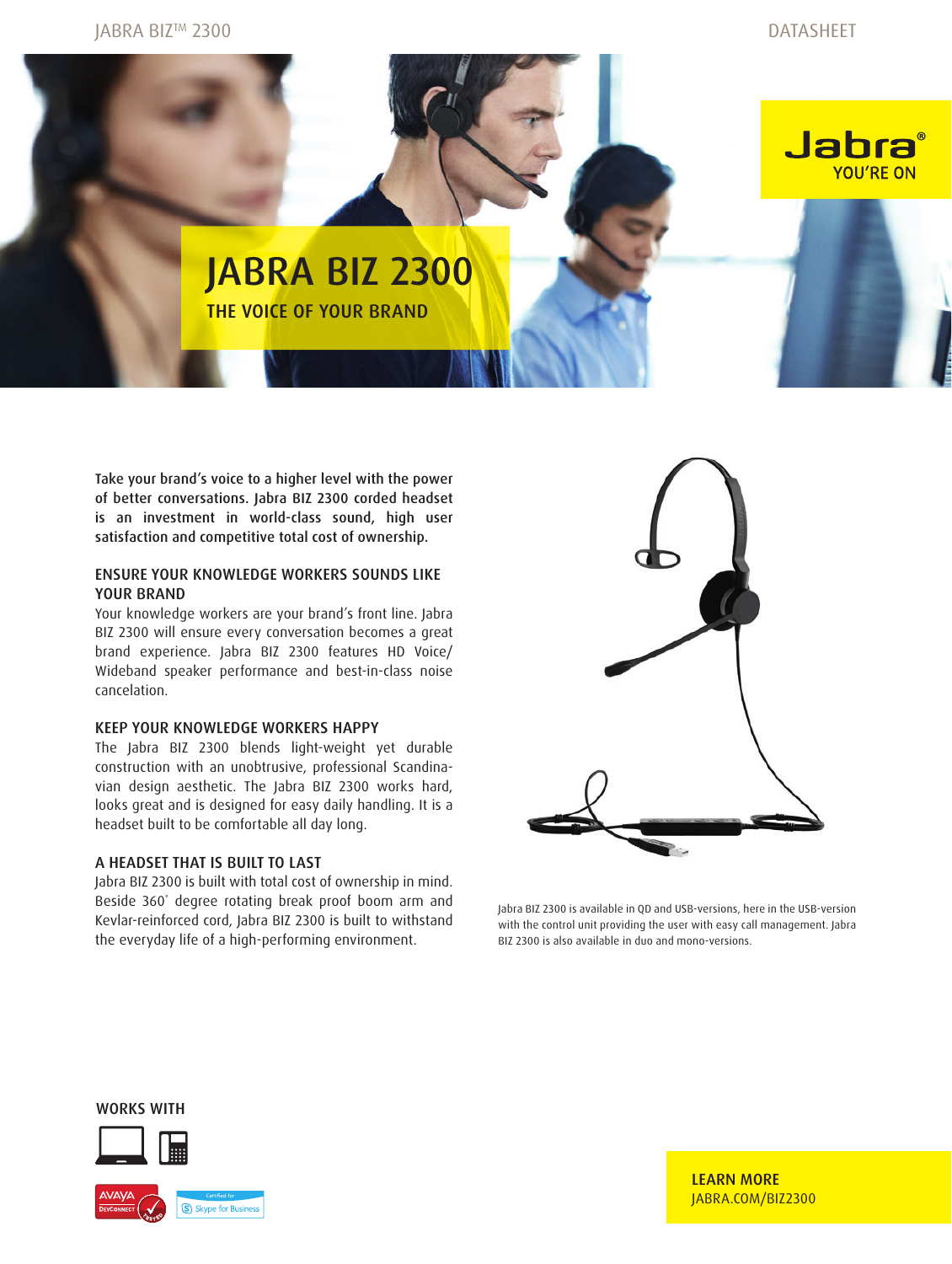

Take your brand's voice to a higher level with the power of better conversations. Jabra BIZ 2300 corded headset is an investment in world-class sound, high user satisfaction and competitive total cost of ownership.

# ENSURE YOUR KNOWLEDGE WORKERS SOUNDS LIKE YOUR BRAND

Your knowledge workers are your brand's front line. Jabra BIZ 2300 will ensure every conversation becomes a great brand experience. Jabra BIZ 2300 features HD Voice/ Wideband speaker performance and best-in-class noise cancelation.

# KEEP YOUR KNOWLEDGE WORKERS HAPPY

The Jabra BIZ 2300 blends light-weight yet durable construction with an unobtrusive, professional Scandinavian design aesthetic. The Jabra BIZ 2300 works hard, looks great and is designed for easy daily handling. It is a headset built to be comfortable all day long.

### A HEADSET THAT IS BUILT TO LAST

Jabra BIZ 2300 is built with total cost of ownership in mind. Beside 360˚ degree rotating break proof boom arm and Kevlar-reinforced cord, Jabra BIZ 2300 is built to withstand the everyday life of a high-performing environment.



Jabra BIZ 2300 is available in QD and USB-versions, here in the USB-version with the control unit providing the user with easy call management. Jabra BIZ 2300 is also available in duo and mono-versions.

#### WORKS WITH





LEARN MORE [JABRA.COM/BIZ2300](http://JABRA.COM/BIZ2300)